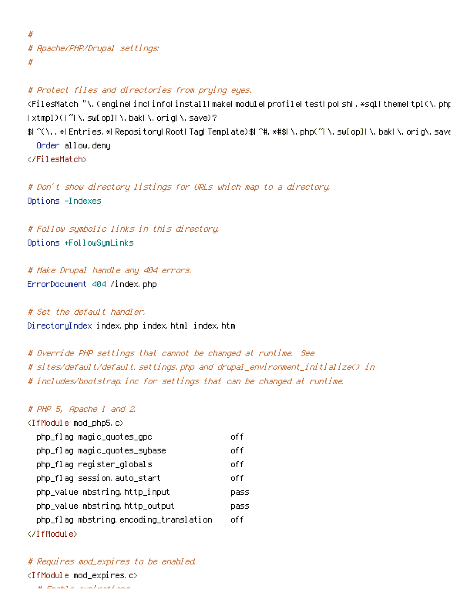# # Apache/PHP/Drupal settings: #

## # Protect files and directories from prying eyes.

<FilesMatch "\.(engine|inc|info|install|make|module|profile|test|po|sh|.\*sql|theme|tpl(\.php)? |xtmpl)(|~|\.sw[op]|\.bak|\.orig|\.save)?

\$|^(\..\*|Entries.\*|Repository|Root|Tag|Template)\$|^#.\*#\$|\.php(^|\.sw[op]|\.bak|\.orig\.save Order allow,deny

</FilesMatch>

# Don't show directory listings for URLs which map to <sup>a</sup> directory. Options -Indexes

# Follow symbolic links in this directory. Options +FollowSymLinks

```
# Make Drupal handle any 404 errors.
ErrorDocument 404 /index.php
```
# Set the default handler. DirectoryIndex index.php index.html index.htm

# Override PHP settings that cannot be changed at runtime. See # sites/default/default.settings.php and drupal\_environment\_initialize() in # includes/bootstrap.inc for settings that can be changed at runtime.

## # PHP 5, Apache 1 and 2.

| <ifmodule mod_php5.c=""></ifmodule>    |       |
|----------------------------------------|-------|
| php_flag magic_quotes_gpc              | off   |
| php_flag magic_quotes_sybase           | off   |
| php_flag register_globals              | off   |
| php_flaq session auto_start            | off   |
| php_value mbstring.http_input          | pass  |
| php_value mbstring.http_output         | pass  |
| php_flaq mbstring encoding_translation | nf fi |
|                                        |       |

# Requires mod\_expires to be enabled. <IfModule mod\_expires.c>  $\mu$  ,  $E = \pm E T = -\frac{1}{2} \pm \frac{1}{2} \pm \frac{1}{2} \pm \frac{1}{2} \pm \frac{1}{2} \pm \frac{1}{2} \pm \frac{1}{2} \pm \frac{1}{2} \pm \frac{1}{2} \pm \frac{1}{2} \pm \frac{1}{2} \pm \frac{1}{2} \pm \frac{1}{2} \pm \frac{1}{2} \pm \frac{1}{2} \pm \frac{1}{2} \pm \frac{1}{2} \pm \frac{1}{2} \pm \frac{1}{2} \pm \frac{1}{2} \pm \frac{1}{2} \pm \frac{1}{2} \pm \frac{1}{2}$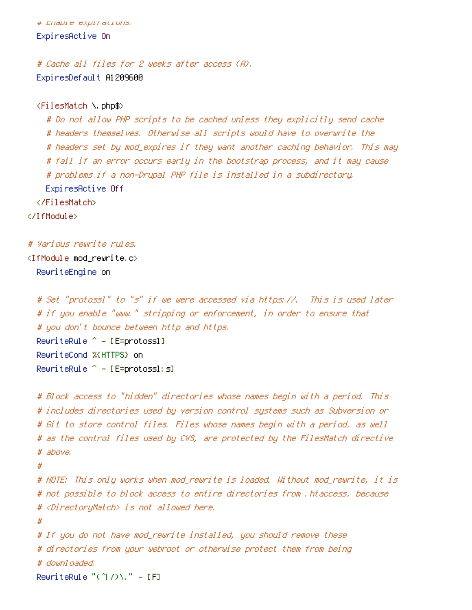# Enable expirations. ExpiresActive On

# Cache all files for 2 weeks after access (A). ExpiresDefault A1209600

<FilesMatch \.php\$>

# Do not allow PHP scripts to be cached unless they explicitly send cache # headers themselves. Otherwise all scripts would have to overwrite the # headers set by mod\_expires if they want another caching behavior. This may # fail if an error occurs early in the bootstrap process, and it may cause # problems if <sup>a</sup> non-Drupal PHP file is installed in <sup>a</sup> subdirectory. ExpiresActive Off </FilesMatch> </IfModule>

# Various rewrite rules.

 $\triangleleft$ IfModule mod rewrite.c $>$ RewriteEngine on

```
# Set "protossl" to "s" if we were accessed via https://. This is used later
# if you enable "www." stripping or enforcement, in order to ensure that
# you don't bounce between http and https.
RewriteRule ^{\wedge} - [E=protossl]
RewriteCond %{HTTPS} on
RewriteRule ^{\wedge} - [E=protossl: s]
```

```
# Block access to "hidden" directories whose names begin with a period. This
# includes directories used by version control systems such as Subversion or
# Git to store control files. Files whose names begin with a period, as well
# as the control files used by CVS, are protected by the FilesMatch directive
# above.
#
# NOTE: This only works when mod_rewrite is loaded. Without mod_rewrite, it is
# not possible to block access to entire directories from .htaccess, because
# <DirectoryMatch> is not allowed here.
#
# If you do not have mod_rewrite installed, you should remove these
# directories from your webroot or otherwise protect them from being
# downloaded.
RewriteRule "(^{\circ}|/)\mathcal{N} " - [F]
```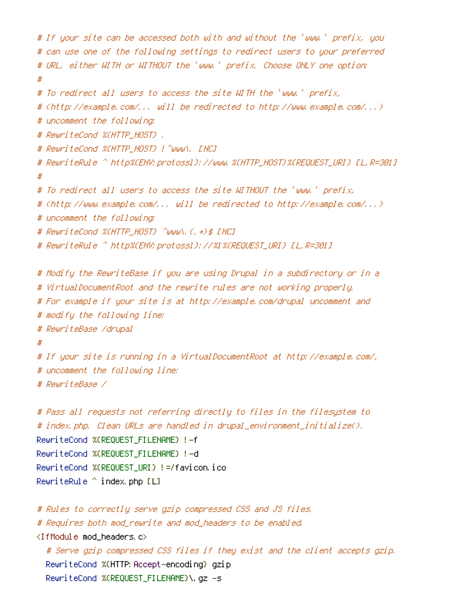```
# If your site can be accessed both with and without the 'www.' prefix, you
# can use one of the following settings to redirect users to your preferred
# URL, either WITH or WITHOUT the 'www.' prefix. Choose ONLY one option:
#
# To redirect all users to access the site WITH the 'www.' prefix,
# (http://example.com/... will be redirected to http://www.example.com/...)
# uncomment the following:
# RewriteCond %{HTTP_HOST} .
# RewriteCond %{HTTP_HOST} ! ^www\. [NC]
# RewriteRule ^ http%{ENV:protossl}://www.%{HTTP_HOST}%{REQUEST_URI} [L,R=301]
#
# To redirect all users to access the site WITHOUT the 'www.' prefix,
# (http://www.example.com/... will be redirected to http://example.com/...)
# uncomment the following:
# RewriteCond %{HTTP_HOST} ^www\.(.+)$ [NC]
# RewriteRule ^ http%{ENV:protossl}://%1%{REQUEST_URI} [L,R=301]
# Modify the RewriteBase if you are using Drupal in a subdirectory or in a
# VirtualDocumentRoot and the rewrite rules are not working properly.
# For example if your site is at http://example.com/drupal uncomment and
# modify the following line:
# RewriteBase /drupal
#
# If your site is running in a VirtualDocumentRoot at http://example.com/,
# uncomment the following line:
# RewriteBase /
# Pass all requests not referring directly to files in the filesystem to
# index.php. Clean URLs are handled in drupal_environment_initialize().
RewriteCond %{REQUEST_FILENAME} !-f
RewriteCond %{REQUEST_FILENAME} !-d
RewriteCond %{REQUEST_URI} !=/favicon.ico
RewriteRule \hat{ } index.php [L]
# Rules to correctly serve gzip compressed CSS and JS files.
# Requires both mod_rewrite and mod_headers to be enabled.
<IfModule mod_headers.c>
  # Serve gzip compressed CSS files if they exist and the client accepts gzip.
  RewriteCond %{HTTP: Accept-encoding} gzip
  RewriteCond %{REQUEST_FILENAME}\.gz -s
```